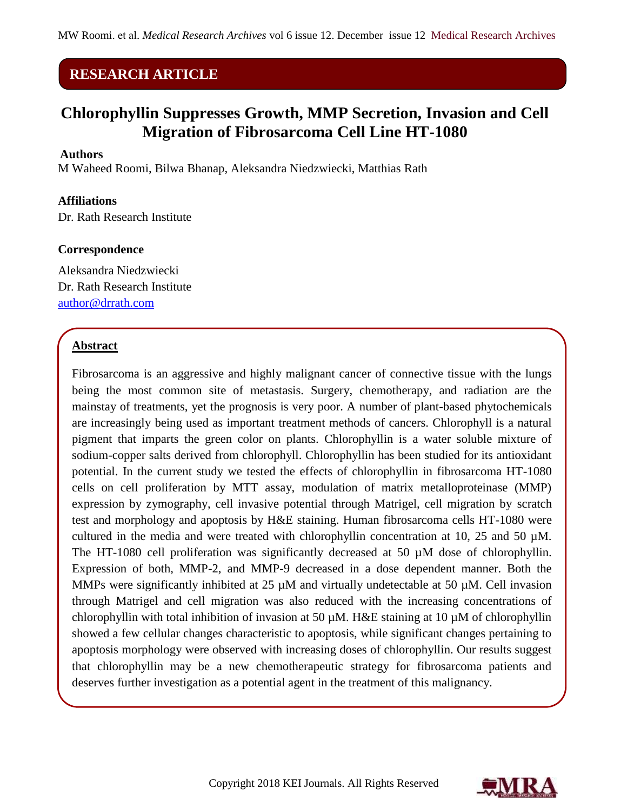# **RESEARCH ARTICLE**

# **Chlorophyllin Suppresses Growth, MMP Secretion, Invasion and Cell Migration of Fibrosarcoma Cell Line HT-1080**

#### **Authors**

M Waheed Roomi, Bilwa Bhanap, Aleksandra Niedzwiecki, Matthias Rath

#### **Affiliations**

Dr. Rath Research Institute

#### **Correspondence**

Aleksandra Niedzwiecki Dr. Rath Research Institute [author@drrath.com](mailto:author@drrath.com)

## **Abstract**

Fibrosarcoma is an aggressive and highly malignant cancer of connective tissue with the lungs being the most common site of metastasis. Surgery, chemotherapy, and radiation are the mainstay of treatments, yet the prognosis is very poor. A number of plant-based phytochemicals are increasingly being used as important treatment methods of cancers. Chlorophyll is a natural pigment that imparts the green color on plants. Chlorophyllin is a water soluble mixture of sodium-copper salts derived from chlorophyll. Chlorophyllin has been studied for its antioxidant potential. In the current study we tested the effects of chlorophyllin in fibrosarcoma HT-1080 cells on cell proliferation by MTT assay, modulation of matrix metalloproteinase (MMP) expression by zymography, cell invasive potential through Matrigel, cell migration by scratch test and morphology and apoptosis by H&E staining. Human fibrosarcoma cells HT-1080 were cultured in the media and were treated with chlorophyllin concentration at 10, 25 and 50 µM. The HT-1080 cell proliferation was significantly decreased at 50 µM dose of chlorophyllin. Expression of both, MMP-2, and MMP-9 decreased in a dose dependent manner. Both the MMPs were significantly inhibited at 25  $\mu$ M and virtually undetectable at 50  $\mu$ M. Cell invasion through Matrigel and cell migration was also reduced with the increasing concentrations of chlorophyllin with total inhibition of invasion at 50  $\mu$ M. H&E staining at 10  $\mu$ M of chlorophyllin showed a few cellular changes characteristic to apoptosis, while significant changes pertaining to apoptosis morphology were observed with increasing doses of chlorophyllin. Our results suggest that chlorophyllin may be a new chemotherapeutic strategy for fibrosarcoma patients and deserves further investigation as a potential agent in the treatment of this malignancy.

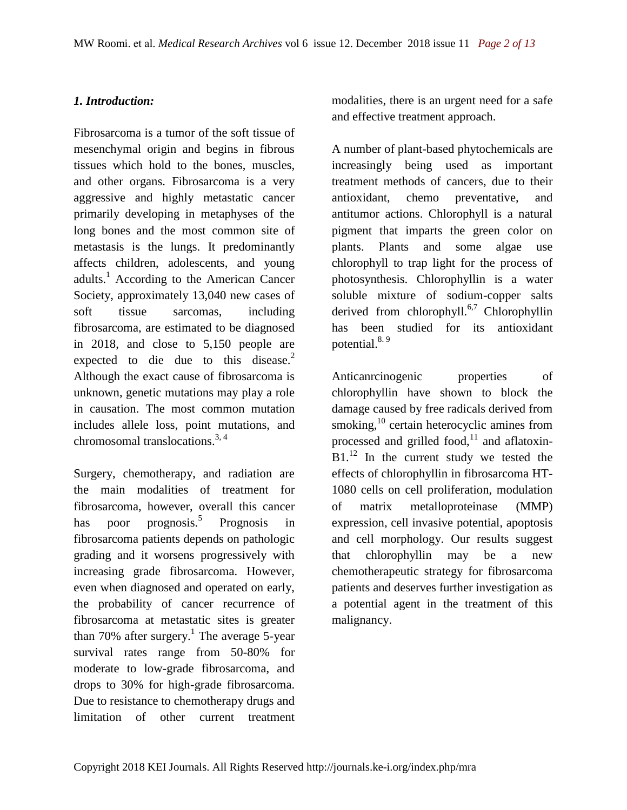## *1. Introduction:*

Fibrosarcoma is a tumor of the soft tissue of mesenchymal origin and begins in fibrous tissues which hold to the bones, muscles, and other organs. Fibrosarcoma is a very aggressive and highly metastatic cancer primarily developing in metaphyses of the long bones and the most common site of metastasis is the lungs. It predominantly affects children, adolescents, and young adults.<sup>1</sup> According to the American Cancer Society, approximately 13,040 new cases of soft tissue sarcomas, including fibrosarcoma, are estimated to be diagnosed in 2018, and close to 5,150 people are expected to die due to this disease. $2$ Although the exact cause of fibrosarcoma is unknown, genetic mutations may play a role in causation. The most common mutation includes allele loss, point mutations, and chromosomal translocations.<sup>3, 4</sup>

Surgery, chemotherapy, and radiation are the main modalities of treatment for fibrosarcoma, however, overall this cancer has poor prognosis.<sup>5</sup> Prognosis in fibrosarcoma patients depends on pathologic grading and it worsens progressively with increasing grade fibrosarcoma. However, even when diagnosed and operated on early, the probability of cancer recurrence of fibrosarcoma at metastatic sites is greater than 70% after surgery.<sup>1</sup> The average 5-year survival rates range from 50-80% for moderate to low-grade fibrosarcoma, and drops to 30% for high-grade fibrosarcoma. Due to resistance to chemotherapy drugs and limitation of other current treatment

modalities, there is an urgent need for a safe and effective treatment approach.

A number of plant-based phytochemicals are increasingly being used as important treatment methods of cancers, due to their antioxidant, chemo preventative, and antitumor actions. Chlorophyll is a natural pigment that imparts the green color on plants. Plants and some algae use chlorophyll to trap light for the process of photosynthesis. Chlorophyllin is a water soluble mixture of sodium-copper salts derived from chlorophyll.<sup>6,7</sup> Chlorophyllin has been studied for its antioxidant potential.<sup>8.9</sup>

Anticanrcinogenic properties of chlorophyllin have shown to block the damage caused by free radicals derived from smoking,<sup>10</sup> certain heterocyclic amines from processed and grilled food, $11$  and aflatoxin- $B1<sup>12</sup>$  In the current study we tested the effects of chlorophyllin in fibrosarcoma HT-1080 cells on cell proliferation, modulation of matrix metalloproteinase (MMP) expression, cell invasive potential, apoptosis and cell morphology. Our results suggest that chlorophyllin may be a new chemotherapeutic strategy for fibrosarcoma patients and deserves further investigation as a potential agent in the treatment of this malignancy.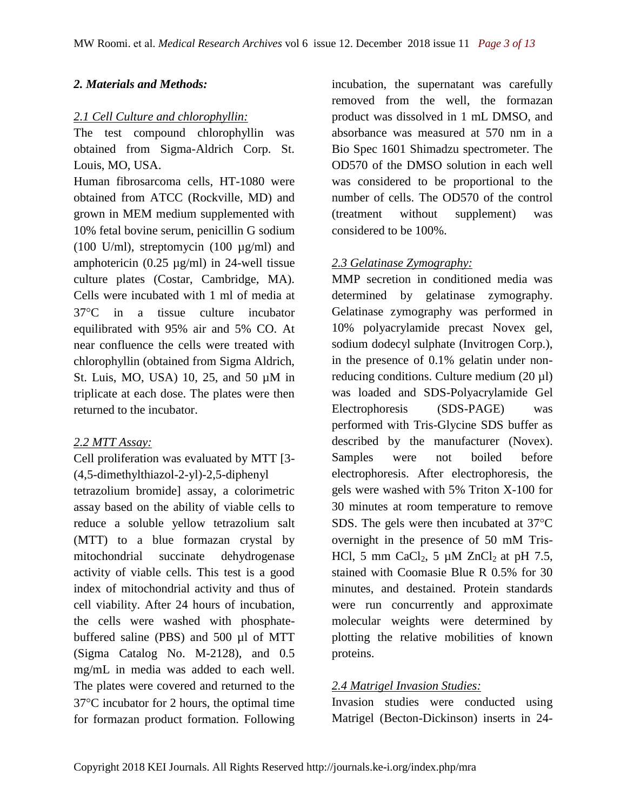## *2. Materials and Methods:*

## *2.1 Cell Culture and chlorophyllin:*

The test compound chlorophyllin was obtained from Sigma-Aldrich Corp. St. Louis, MO, USA.

Human fibrosarcoma cells, HT-1080 were obtained from ATCC (Rockville, MD) and grown in MEM medium supplemented with 10% fetal bovine serum, penicillin G sodium (100 U/ml), streptomycin (100 µg/ml) and amphotericin (0.25  $\mu$ g/ml) in 24-well tissue culture plates (Costar, Cambridge, MA). Cells were incubated with 1 ml of media at 37C in a tissue culture incubator equilibrated with 95% air and 5% CO. At near confluence the cells were treated with chlorophyllin (obtained from Sigma Aldrich, St. Luis, MO, USA) 10, 25, and 50 µM in triplicate at each dose. The plates were then returned to the incubator.

## *2.2 MTT Assay:*

Cell proliferation was evaluated by MTT [3- (4,5-dimethylthiazol-2-yl)-2,5-diphenyl tetrazolium bromide] assay, a colorimetric assay based on the ability of viable cells to reduce a soluble yellow tetrazolium salt (MTT) to a blue formazan crystal by mitochondrial succinate dehydrogenase activity of viable cells. This test is a good index of mitochondrial activity and thus of cell viability. After 24 hours of incubation, the cells were washed with phosphatebuffered saline (PBS) and 500 µl of MTT (Sigma Catalog No. M-2128), and 0.5 mg/mL in media was added to each well. The plates were covered and returned to the  $37^{\circ}$ C incubator for 2 hours, the optimal time for formazan product formation. Following

incubation, the supernatant was carefully removed from the well, the formazan product was dissolved in 1 mL DMSO, and absorbance was measured at 570 nm in a Bio Spec 1601 Shimadzu spectrometer. The OD570 of the DMSO solution in each well was considered to be proportional to the number of cells. The OD570 of the control (treatment without supplement) was considered to be 100%.

## *2.3 Gelatinase Zymography:*

MMP secretion in conditioned media was determined by gelatinase zymography. Gelatinase zymography was performed in 10% polyacrylamide precast Novex gel, sodium dodecyl sulphate (Invitrogen Corp.), in the presence of 0.1% gelatin under nonreducing conditions. Culture medium  $(20 \mu l)$ was loaded and SDS-Polyacrylamide Gel Electrophoresis (SDS-PAGE) was performed with Tris-Glycine SDS buffer as described by the manufacturer (Novex). Samples were not boiled before electrophoresis. After electrophoresis, the gels were washed with 5% Triton X-100 for 30 minutes at room temperature to remove SDS. The gels were then incubated at  $37^{\circ}$ C overnight in the presence of 50 mM Tris-HCl, 5 mm CaCl<sub>2</sub>, 5  $\mu$ M ZnCl<sub>2</sub> at pH 7.5, stained with Coomasie Blue R 0.5% for 30 minutes, and destained. Protein standards were run concurrently and approximate molecular weights were determined by plotting the relative mobilities of known proteins.

## *2.4 Matrigel Invasion Studies:*

Invasion studies were conducted using Matrigel (Becton-Dickinson) inserts in 24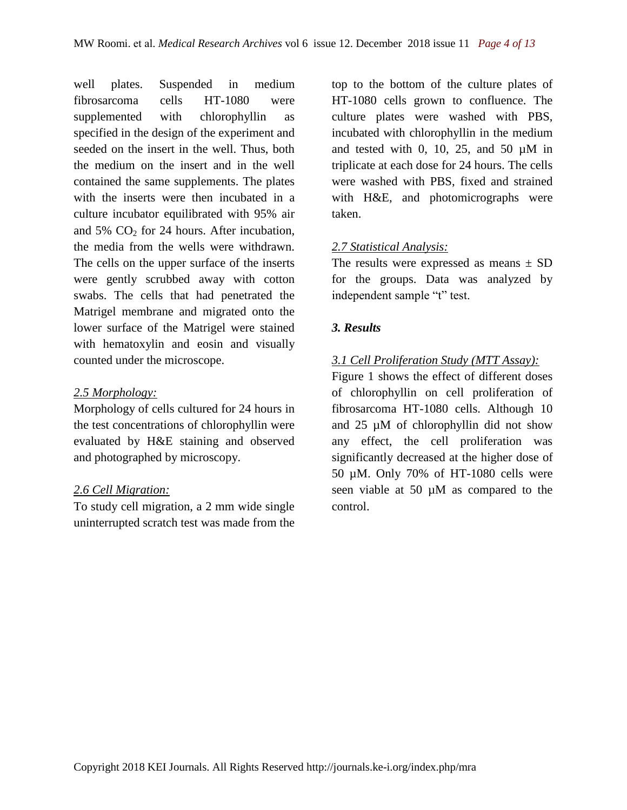well plates. Suspended in medium fibrosarcoma cells HT-1080 were supplemented with chlorophyllin as specified in the design of the experiment and seeded on the insert in the well. Thus, both the medium on the insert and in the well contained the same supplements. The plates with the inserts were then incubated in a culture incubator equilibrated with 95% air and  $5\%$  CO<sub>2</sub> for 24 hours. After incubation, the media from the wells were withdrawn. The cells on the upper surface of the inserts were gently scrubbed away with cotton swabs. The cells that had penetrated the Matrigel membrane and migrated onto the lower surface of the Matrigel were stained with hematoxylin and eosin and visually counted under the microscope.

### *2.5 Morphology:*

Morphology of cells cultured for 24 hours in the test concentrations of chlorophyllin were evaluated by H&E staining and observed and photographed by microscopy.

### *2.6 Cell Migration:*

To study cell migration, a 2 mm wide single uninterrupted scratch test was made from the top to the bottom of the culture plates of HT-1080 cells grown to confluence. The culture plates were washed with PBS, incubated with chlorophyllin in the medium and tested with 0, 10, 25, and 50  $\mu$ M in triplicate at each dose for 24 hours. The cells were washed with PBS, fixed and strained with H&E, and photomicrographs were taken.

## *2.7 Statistical Analysis:*

The results were expressed as means  $\pm$  SD for the groups. Data was analyzed by independent sample "t" test.

## *3. Results*

## *3.1 Cell Proliferation Study (MTT Assay):*

Figure 1 shows the effect of different doses of chlorophyllin on cell proliferation of fibrosarcoma HT-1080 cells. Although 10 and 25 µM of chlorophyllin did not show any effect, the cell proliferation was significantly decreased at the higher dose of 50 µM. Only 70% of HT-1080 cells were seen viable at 50 µM as compared to the control.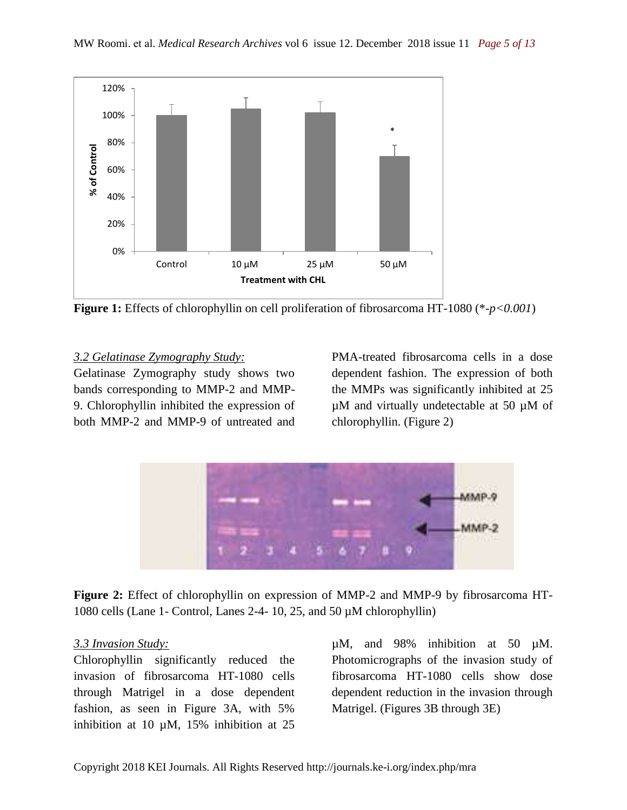

**Figure 1:** Effects of chlorophyllin on cell proliferation of fibrosarcoma HT-1080 (\*-*p<0.001*)

## *3.2 Gelatinase Zymography Study:*

Gelatinase Zymography study shows two bands corresponding to MMP-2 and MMP-9. Chlorophyllin inhibited the expression of both MMP-2 and MMP-9 of untreated and PMA-treated fibrosarcoma cells in a dose dependent fashion. The expression of both the MMPs was significantly inhibited at 25 µM and virtually undetectable at 50 µM of chlorophyllin. (Figure 2)



**Figure 2:** Effect of chlorophyllin on expression of MMP-2 and MMP-9 by fibrosarcoma HT-1080 cells (Lane 1- Control, Lanes 2-4- 10, 25, and 50 µM chlorophyllin)

### *3.3 Invasion Study:*

Chlorophyllin significantly reduced the invasion of fibrosarcoma HT-1080 cells through Matrigel in a dose dependent fashion, as seen in Figure 3A, with 5% inhibition at 10  $\mu$ M, 15% inhibition at 25

µM, and 98% inhibition at 50 µM. Photomicrographs of the invasion study of fibrosarcoma HT-1080 cells show dose dependent reduction in the invasion through Matrigel. (Figures 3B through 3E)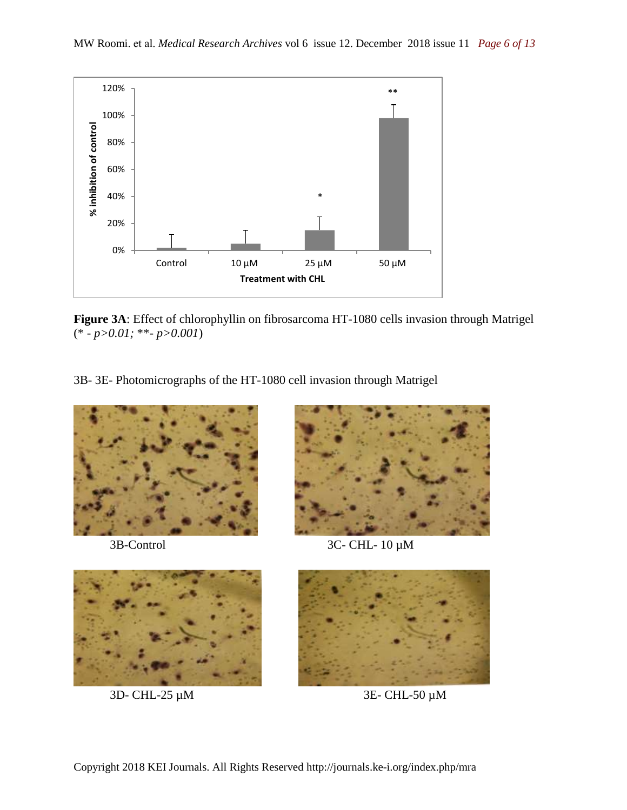

**Figure 3A**: Effect of chlorophyllin on fibrosarcoma HT-1080 cells invasion through Matrigel (\* - *p>0.01;* \*\*- *p>0.001*)

3B- 3E- Photomicrographs of the HT-1080 cell invasion through Matrigel





3B-Control 3C- CHL- 10 µM





3D- CHL-25 µM 3E- CHL-50 µM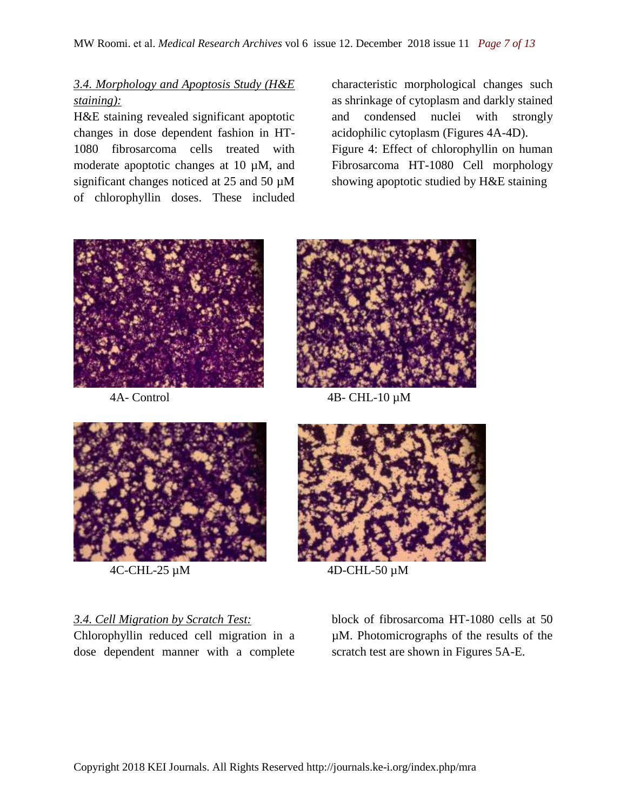## *3.4. Morphology and Apoptosis Study (H&E staining):*

H&E staining revealed significant apoptotic changes in dose dependent fashion in HT-1080 fibrosarcoma cells treated with moderate apoptotic changes at 10 µM, and significant changes noticed at 25 and 50  $\mu$ M of chlorophyllin doses. These included characteristic morphological changes such as shrinkage of cytoplasm and darkly stained and condensed nuclei with strongly acidophilic cytoplasm (Figures 4A-4D). Figure 4: Effect of chlorophyllin on human Fibrosarcoma HT-1080 Cell morphology showing apoptotic studied by H&E staining





4A- Control 4B- CHL-10 µM



 $4C$ -CHL-25  $\mu$ M  $4D$ -CHL-50  $\mu$ M

## *3.4. Cell Migration by Scratch Test:*

Chlorophyllin reduced cell migration in a dose dependent manner with a complete

block of fibrosarcoma HT-1080 cells at 50 µM. Photomicrographs of the results of the scratch test are shown in Figures 5A-E.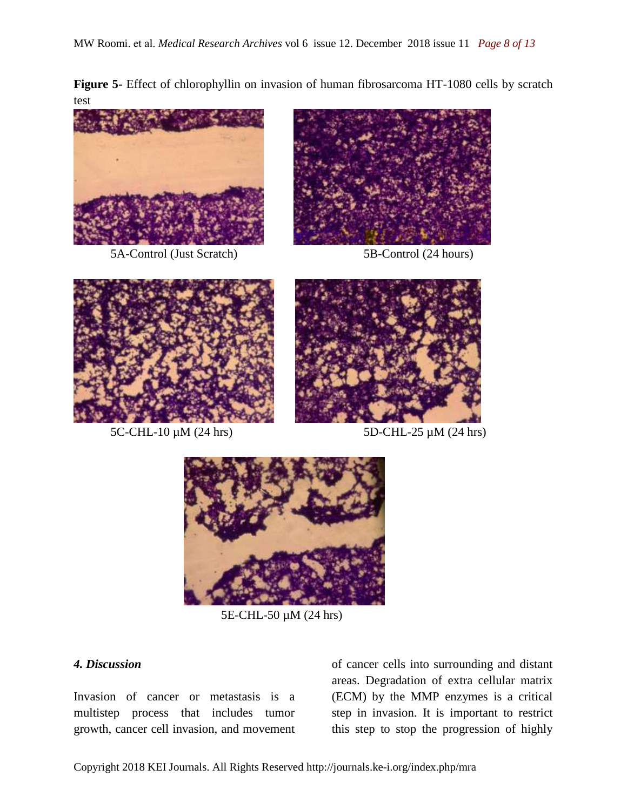**Figure 5-** Effect of chlorophyllin on invasion of human fibrosarcoma HT-1080 cells by scratch test



5A-Control (Just Scratch) 5B-Control (24 hours)







 $5C-CHL-10 \mu M (24 hrs)$   $5D-CHL-25 \mu M (24 hrs)$ 



5E-CHL-50 µM (24 hrs)

## *4. Discussion*

Invasion of cancer or metastasis is a multistep process that includes tumor growth, cancer cell invasion, and movement of cancer cells into surrounding and distant areas. Degradation of extra cellular matrix (ECM) by the MMP enzymes is a critical step in invasion. It is important to restrict this step to stop the progression of highly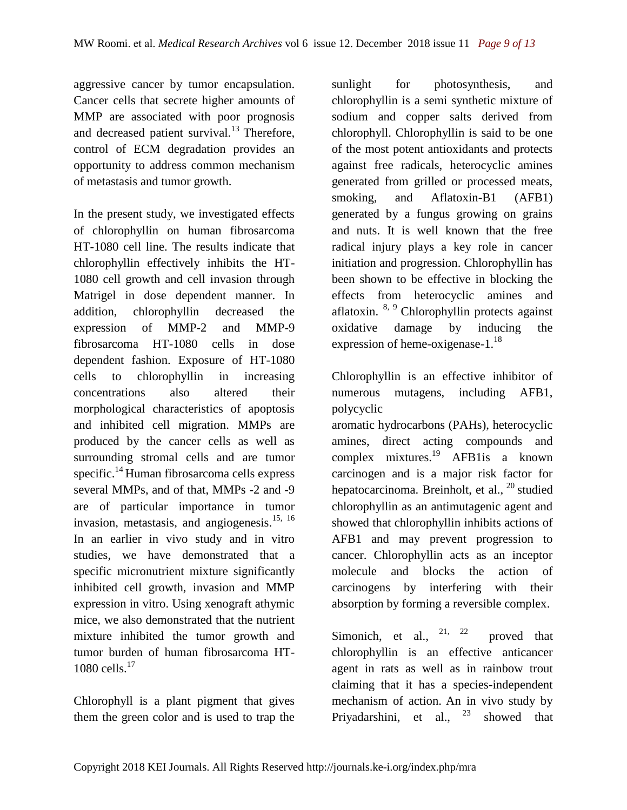aggressive cancer by tumor encapsulation. Cancer cells that secrete higher amounts of MMP are associated with poor prognosis and decreased patient survival. $^{13}$  Therefore, control of ECM degradation provides an opportunity to address common mechanism of metastasis and tumor growth.

In the present study, we investigated effects of chlorophyllin on human fibrosarcoma HT-1080 cell line. The results indicate that chlorophyllin effectively inhibits the HT-1080 cell growth and cell invasion through Matrigel in dose dependent manner. In addition, chlorophyllin decreased the expression of MMP-2 and MMP-9 fibrosarcoma HT-1080 cells in dose dependent fashion. Exposure of HT-1080 cells to chlorophyllin in increasing concentrations also altered their morphological characteristics of apoptosis and inhibited cell migration. MMPs are produced by the cancer cells as well as surrounding stromal cells and are tumor specific.<sup>14</sup> Human fibrosarcoma cells express several MMPs, and of that, MMPs -2 and -9 are of particular importance in tumor invasion, metastasis, and angiogenesis. $15, 16$ In an earlier in vivo study and in vitro studies, we have demonstrated that a specific micronutrient mixture significantly inhibited cell growth, invasion and MMP expression in vitro. Using xenograft athymic mice, we also demonstrated that the nutrient mixture inhibited the tumor growth and tumor burden of human fibrosarcoma HT-1080 cells. $^{17}$ 

Chlorophyll is a plant pigment that gives them the green color and is used to trap the

sunlight for photosynthesis, and chlorophyllin is a semi synthetic mixture of sodium and copper salts derived from chlorophyll. Chlorophyllin is said to be one of the most potent antioxidants and protects against free radicals, heterocyclic amines generated from grilled or processed meats, smoking, and Aflatoxin-B1 (AFB1) generated by a fungus growing on grains and nuts. It is well known that the free radical injury plays a key role in cancer initiation and progression. Chlorophyllin has been shown to be effective in blocking the effects from heterocyclic amines and aflatoxin.  $8, 9$  Chlorophyllin protects against oxidative damage by inducing the expression of heme-oxigenase-1.<sup>18</sup>

Chlorophyllin is an effective inhibitor of numerous mutagens, including AFB1, polycyclic

aromatic hydrocarbons (PAHs), heterocyclic amines, direct acting compounds and complex mixtures.<sup>19</sup> AFB1is a known carcinogen and is a major risk factor for hepatocarcinoma. Breinholt, et al.,  $^{20}$  studied chlorophyllin as an antimutagenic agent and showed that chlorophyllin inhibits actions of AFB1 and may prevent progression to cancer. Chlorophyllin acts as an inceptor molecule and blocks the action of carcinogens by interfering with their absorption by forming a reversible complex.

Simonich, et al.,  $2^{1}$ ,  $2^{2}$  proved that chlorophyllin is an effective anticancer agent in rats as well as in rainbow trout claiming that it has a species-independent mechanism of action. An in vivo study by Priyadarshini, et al.,  $2^3$  showed that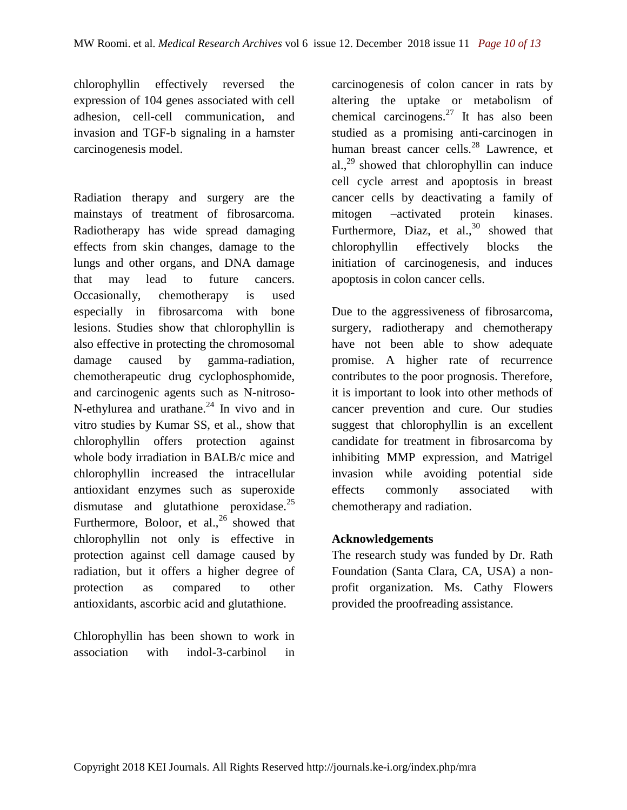chlorophyllin effectively reversed the expression of 104 genes associated with cell adhesion, cell-cell communication, and invasion and TGF-b signaling in a hamster carcinogenesis model.

Radiation therapy and surgery are the mainstays of treatment of fibrosarcoma. Radiotherapy has wide spread damaging effects from skin changes, damage to the lungs and other organs, and DNA damage that may lead to future cancers. Occasionally, chemotherapy is used especially in fibrosarcoma with bone lesions. Studies show that chlorophyllin is also effective in protecting the chromosomal damage caused by gamma-radiation, chemotherapeutic drug cyclophosphomide, and carcinogenic agents such as N-nitroso-N-ethylurea and urathane. $^{24}$  In vivo and in vitro studies by Kumar SS, et al., show that chlorophyllin offers protection against whole body irradiation in BALB/c mice and chlorophyllin increased the intracellular antioxidant enzymes such as superoxide dismutase and glutathione peroxidase.<sup>25</sup> Furthermore, Boloor, et al.,  $^{26}$  showed that chlorophyllin not only is effective in protection against cell damage caused by radiation, but it offers a higher degree of protection as compared to other antioxidants, ascorbic acid and glutathione.

Chlorophyllin has been shown to work in association with indol-3-carbinol in

carcinogenesis of colon cancer in rats by altering the uptake or metabolism of chemical carcinogens.<sup>27</sup> It has also been studied as a promising anti-carcinogen in human breast cancer cells.<sup>28</sup> Lawrence, et al., $^{29}$  showed that chlorophyllin can induce cell cycle arrest and apoptosis in breast cancer cells by deactivating a family of mitogen –activated protein kinases. Furthermore, Diaz, et al., $30$  showed that chlorophyllin effectively blocks the initiation of carcinogenesis, and induces apoptosis in colon cancer cells.

Due to the aggressiveness of fibrosarcoma, surgery, radiotherapy and chemotherapy have not been able to show adequate promise. A higher rate of recurrence contributes to the poor prognosis. Therefore, it is important to look into other methods of cancer prevention and cure. Our studies suggest that chlorophyllin is an excellent candidate for treatment in fibrosarcoma by inhibiting MMP expression, and Matrigel invasion while avoiding potential side effects commonly associated with chemotherapy and radiation.

## **Acknowledgements**

The research study was funded by Dr. Rath Foundation (Santa Clara, CA, USA) a nonprofit organization. Ms. Cathy Flowers provided the proofreading assistance.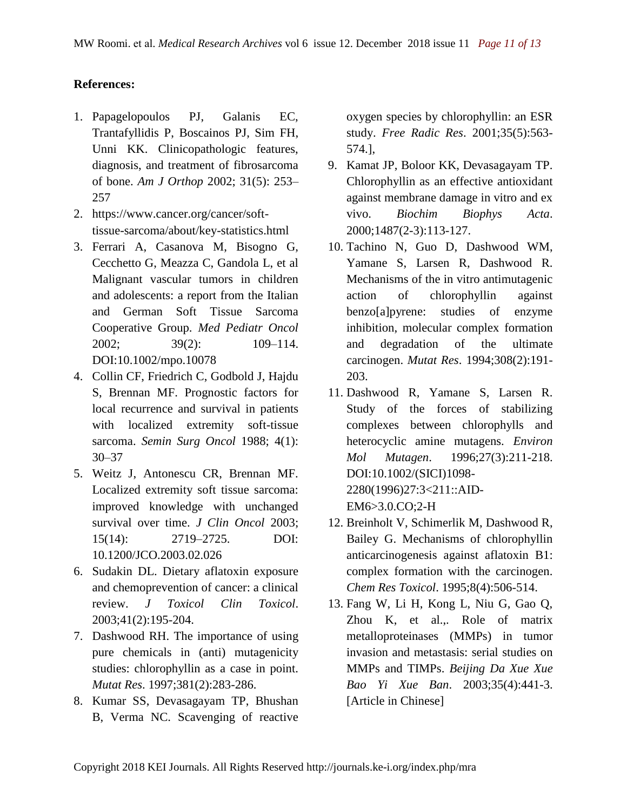## **References:**

- 1. Papagelopoulos PJ, Galanis EC, Trantafyllidis P, Boscainos PJ, Sim FH, Unni KK. Clinicopathologic features, diagnosis, and treatment of fibrosarcoma of bone. *Am J Orthop* 2002; 31(5): 253– 257
- 2. https://www.cancer.org/cancer/softtissue-sarcoma/about/key-statistics.html
- 3. Ferrari A, Casanova M, Bisogno G, Cecchetto G, Meazza C, Gandola L, et al Malignant vascular tumors in children and adolescents: a report from the Italian and German Soft Tissue Sarcoma Cooperative Group. *Med Pediatr Oncol* 2002; 39(2): 109–114. DOI:10.1002/mpo.10078
- 4. Collin CF, Friedrich C, Godbold J, Hajdu S, Brennan MF. Prognostic factors for local recurrence and survival in patients with localized extremity soft-tissue sarcoma. *Semin Surg Oncol* 1988; 4(1): 30–37
- 5. Weitz J, Antonescu CR, Brennan MF. Localized extremity soft tissue sarcoma: improved knowledge with unchanged survival over time. *J Clin Oncol* 2003; 15(14): 2719–2725. DOI: 10.1200/JCO.2003.02.026
- 6. Sudakin DL. Dietary aflatoxin exposure and chemoprevention of cancer: a clinical review. *J Toxicol Clin Toxicol*. 2003;41(2):195-204.
- 7. Dashwood RH. The importance of using pure chemicals in (anti) mutagenicity studies: chlorophyllin as a case in point. *Mutat Res*. 1997;381(2):283-286.
- 8. Kumar SS, Devasagayam TP, Bhushan B, Verma NC. Scavenging of reactive

oxygen species by chlorophyllin: an ESR study. *Free Radic Res*. 2001;35(5):563- 574.],

- 9. Kamat JP, Boloor KK, Devasagayam TP. Chlorophyllin as an effective antioxidant against membrane damage in vitro and ex vivo. *Biochim Biophys Acta*. 2000;1487(2-3):113-127.
- 10. Tachino N, Guo D, Dashwood WM, Yamane S, Larsen R, Dashwood R. Mechanisms of the in vitro antimutagenic action of chlorophyllin against benzo[a]pyrene: studies of enzyme inhibition, molecular complex formation and degradation of the ultimate carcinogen. *Mutat Res*. 1994;308(2):191- 203.
- 11. Dashwood R, Yamane S, Larsen R. Study of the forces of stabilizing complexes between chlorophylls and heterocyclic amine mutagens. *Environ Mol Mutagen*. 1996;27(3):211-218. DOI:10.1002/(SICI)1098- 2280(1996)27:3<211::AID-EM6>3.0.CO;2-H
- 12. Breinholt V, Schimerlik M, Dashwood R, Bailey G. Mechanisms of chlorophyllin anticarcinogenesis against aflatoxin B1: complex formation with the carcinogen. *Chem Res Toxicol*. 1995;8(4):506-514.
- 13. Fang W, Li H, Kong L, Niu G, Gao Q, Zhou K, et al.,. Role of matrix metalloproteinases (MMPs) in tumor invasion and metastasis: serial studies on MMPs and TIMPs. *Beijing Da Xue Xue Bao Yi Xue Ban*. 2003;35(4):441-3. [Article in Chinese]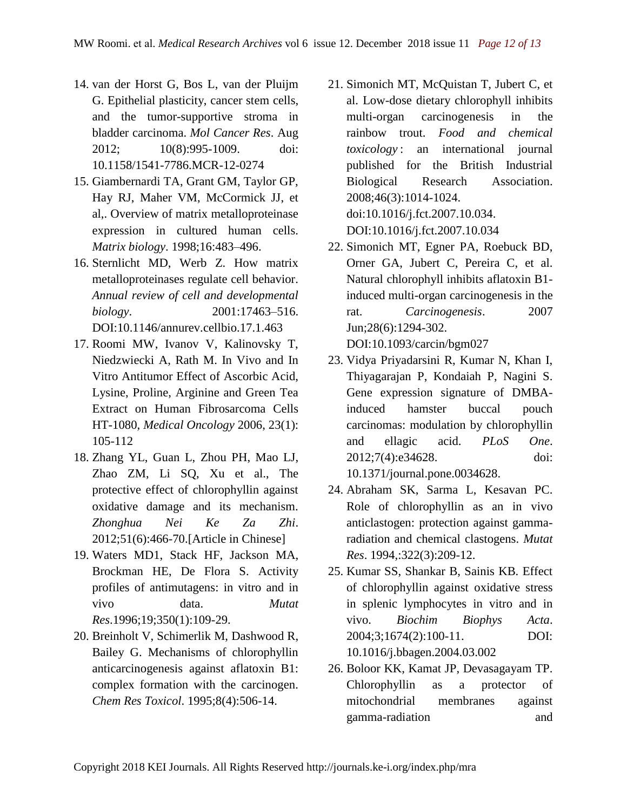- 14. van der Horst G, Bos L, van der Pluijm G. Epithelial plasticity, cancer stem cells, and the tumor-supportive stroma in bladder carcinoma. *Mol Cancer Res*. Aug 2012; 10(8):995-1009. doi: 10.1158/1541-7786.MCR-12-0274
- 15. Giambernardi TA, Grant GM, Taylor GP, Hay RJ, Maher VM, McCormick JJ, et al,. Overview of matrix metalloproteinase expression in cultured human cells. *Matrix biology*. 1998;16:483–496.
- 16. Sternlicht MD, Werb Z. How matrix metalloproteinases regulate cell behavior. *Annual review of cell and developmental biology*. 2001:17463–516. DOI:10.1146/annurev.cellbio.17.1.463
- 17. Roomi MW, Ivanov V, Kalinovsky T, Niedzwiecki A, Rath M. In Vivo and In Vitro Antitumor Effect of Ascorbic Acid, Lysine, Proline, Arginine and Green Tea Extract on Human Fibrosarcoma Cells HT-1080, *Medical Oncology* 2006, 23(1): 105-112
- 18. Zhang YL, Guan L, Zhou PH, Mao LJ, Zhao ZM, Li SQ, Xu et al., The protective effect of chlorophyllin against oxidative damage and its mechanism. *Zhonghua Nei Ke Za Zhi*. 2012;51(6):466-70.[Article in Chinese]
- 19. Waters MD1, Stack HF, Jackson MA, Brockman HE, De Flora S. Activity profiles of antimutagens: in vitro and in vivo data. *Mutat Res*.1996;19;350(1):109-29.
- 20. Breinholt V, Schimerlik M, Dashwood R, Bailey G. Mechanisms of chlorophyllin anticarcinogenesis against aflatoxin B1: complex formation with the carcinogen. *Chem Res Toxicol*. 1995;8(4):506-14.
- 21. Simonich MT, McQuistan T, Jubert C, et al. Low-dose dietary chlorophyll inhibits multi-organ carcinogenesis in the rainbow trout. *Food and chemical toxicology* : an international journal published for the British Industrial Biological Research Association. 2008;46(3):1014-1024. doi:10.1016/j.fct.2007.10.034. DOI:10.1016/j.fct.2007.10.034
- 22. Simonich MT, Egner PA, Roebuck BD, Orner GA, Jubert C, Pereira C, et al. Natural chlorophyll inhibits aflatoxin B1 induced multi-organ carcinogenesis in the rat. *Carcinogenesis*. 2007 Jun;28(6):1294-302. DOI:10.1093/carcin/bgm027
- 23. Vidya Priyadarsini R, Kumar N, Khan I, Thiyagarajan P, Kondaiah P, Nagini S. Gene expression signature of DMBAinduced hamster buccal pouch carcinomas: modulation by chlorophyllin and ellagic acid. *PLoS One*. 2012;7(4):e34628. doi: 10.1371/journal.pone.0034628.
- 24. Abraham SK, Sarma L, Kesavan PC. Role of chlorophyllin as an in vivo anticlastogen: protection against gammaradiation and chemical clastogens. *Mutat Res*. 1994,:322(3):209-12.
- 25. Kumar SS, Shankar B, Sainis KB. Effect of chlorophyllin against oxidative stress in splenic lymphocytes in vitro and in vivo. *Biochim Biophys Acta*. 2004;3;1674(2):100-11. DOI: 10.1016/j.bbagen.2004.03.002
- 26. Boloor KK, Kamat JP, Devasagayam TP. Chlorophyllin as a protector of mitochondrial membranes against gamma-radiation and